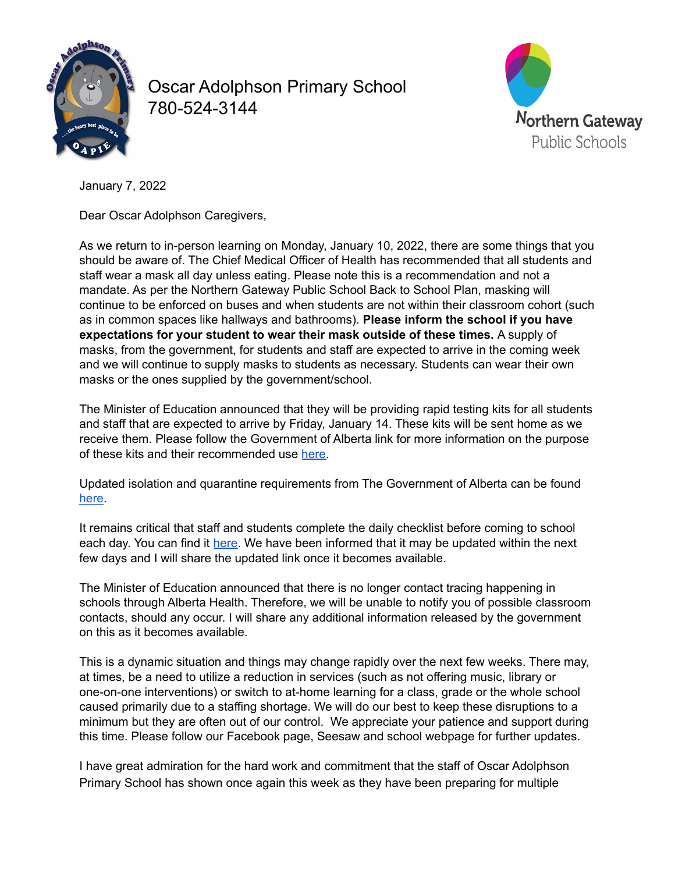

Oscar Adolphson Primary School 780-524-3144



January 7, 2022

Dear Oscar Adolphson Caregivers,

As we return to in-person learning on Monday, January 10, 2022, there are some things that you should be aware of. The Chief Medical Officer of Health has recommended that all students and staff wear a mask all day unless eating. Please note this is a recommendation and not a mandate. As per the Northern Gateway Public School Back to School Plan, masking will continue to be enforced on buses and when students are not within their classroom cohort (such as in common spaces like hallways and bathrooms). **Please inform the school if you have expectations for your student to wear their mask outside of these times.** A supply of masks, from the government, for students and staff are expected to arrive in the coming week and we will continue to supply masks to students as necessary. Students can wear their own masks or the ones supplied by the government/school.

The Minister of Education announced that they will be providing rapid testing kits for all students and staff that are expected to arrive by Friday, January 14. These kits will be sent home as we receive them. Please follow the Government of Alberta link for more information on the purpose of these kits and their recommended use [here.](https://open.alberta.ca/dataset/088c0474-f375-4534-b337-9c41e571b653/resource/5c0670b8-ae60-4bfb-8903-88e5c4b621de/download/edc-covid-19-education-at-home-rapid-testing-program-parents-staff.pdf)

Updated isolation and quarantine requirements from The Government of Alberta can be found [here](https://www.alberta.ca/isolation.aspx).

It remains critical that staff and students complete the daily checklist before coming to school each day. You can find it [here.](https://www.alberta.ca/assets/documents/edc-covid-19-screening-questionaire-english.pdf) We have been informed that it may be updated within the next few days and I will share the updated link once it becomes available.

The Minister of Education announced that there is no longer contact tracing happening in schools through Alberta Health. Therefore, we will be unable to notify you of possible classroom contacts, should any occur. I will share any additional information released by the government on this as it becomes available.

This is a dynamic situation and things may change rapidly over the next few weeks. There may, at times, be a need to utilize a reduction in services (such as not offering music, library or one-on-one interventions) or switch to at-home learning for a class, grade or the whole school caused primarily due to a staffing shortage. We will do our best to keep these disruptions to a minimum but they are often out of our control. We appreciate your patience and support during this time. Please follow our Facebook page, Seesaw and school webpage for further updates.

I have great admiration for the hard work and commitment that the staff of Oscar Adolphson Primary School has shown once again this week as they have been preparing for multiple